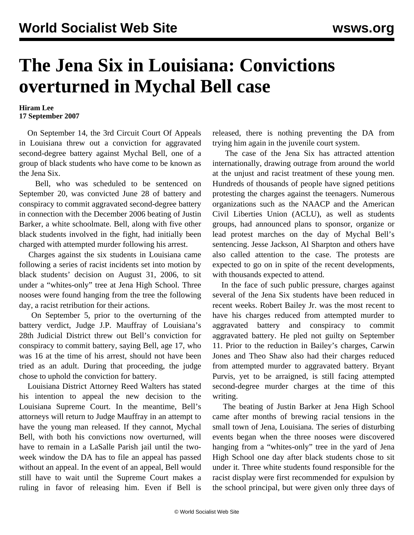## **The Jena Six in Louisiana: Convictions overturned in Mychal Bell case**

## **Hiram Lee 17 September 2007**

 On September 14, the 3rd Circuit Court Of Appeals in Louisiana threw out a conviction for aggravated second-degree battery against Mychal Bell, one of a group of black students who have come to be known as the Jena Six.

 Bell, who was scheduled to be sentenced on September 20, was convicted June 28 of battery and conspiracy to commit aggravated second-degree battery in connection with the December 2006 beating of Justin Barker, a white schoolmate. Bell, along with five other black students involved in the fight, had initially been charged with attempted murder following his arrest.

 Charges against the six students in Louisiana came following a series of racist incidents set into motion by black students' decision on August 31, 2006, to sit under a "whites-only" tree at Jena High School. Three nooses were found hanging from the tree the following day, a racist retribution for their actions.

 On September 5, prior to the overturning of the battery verdict, Judge J.P. Mauffray of Louisiana's 28th Judicial District threw out Bell's conviction for conspiracy to commit battery, saying Bell, age 17, who was 16 at the time of his arrest, should not have been tried as an adult. During that proceeding, the judge chose to uphold the conviction for battery.

 Louisiana District Attorney Reed Walters has stated his intention to appeal the new decision to the Louisiana Supreme Court. In the meantime, Bell's attorneys will return to Judge Mauffray in an attempt to have the young man released. If they cannot, Mychal Bell, with both his convictions now overturned, will have to remain in a LaSalle Parish jail until the twoweek window the DA has to file an appeal has passed without an appeal. In the event of an appeal, Bell would still have to wait until the Supreme Court makes a ruling in favor of releasing him. Even if Bell is released, there is nothing preventing the DA from trying him again in the juvenile court system.

 The case of the Jena Six has attracted attention internationally, drawing outrage from around the world at the unjust and racist treatment of these young men. Hundreds of thousands of people have signed petitions protesting the charges against the teenagers. Numerous organizations such as the NAACP and the American Civil Liberties Union (ACLU), as well as students groups, had announced plans to sponsor, organize or lead protest marches on the day of Mychal Bell's sentencing. Jesse Jackson, Al Sharpton and others have also called attention to the case. The protests are expected to go on in spite of the recent developments, with thousands expected to attend.

 In the face of such public pressure, charges against several of the Jena Six students have been reduced in recent weeks. Robert Bailey Jr. was the most recent to have his charges reduced from attempted murder to aggravated battery and conspiracy to commit aggravated battery. He pled not guilty on September 11. Prior to the reduction in Bailey's charges, Carwin Jones and Theo Shaw also had their charges reduced from attempted murder to aggravated battery. Bryant Purvis, yet to be arraigned, is still facing attempted second-degree murder charges at the time of this writing.

 The beating of Justin Barker at Jena High School came after months of brewing racial tensions in the small town of Jena, Louisiana. The series of disturbing events began when the three nooses were discovered hanging from a "whites-only" tree in the yard of Jena High School one day after black students chose to sit under it. Three white students found responsible for the racist display were first recommended for expulsion by the school principal, but were given only three days of